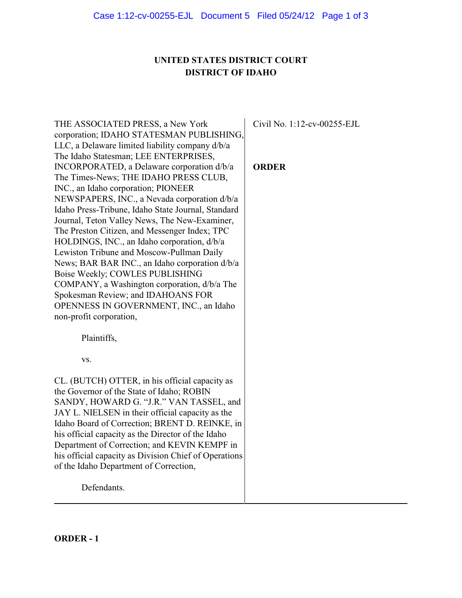# **UNITED STATES DISTRICT COURT DISTRICT OF IDAHO**

| THE ASSOCIATED PRESS, a New York<br>corporation; IDAHO STATESMAN PUBLISHING,<br>LLC, a Delaware limited liability company d/b/a<br>The Idaho Statesman; LEE ENTERPRISES,<br>INCORPORATED, a Delaware corporation d/b/a<br>The Times-News; THE IDAHO PRESS CLUB,<br>INC., an Idaho corporation; PIONEER<br>NEWSPAPERS, INC., a Nevada corporation d/b/a<br>Idaho Press-Tribune, Idaho State Journal, Standard<br>Journal, Teton Valley News, The New-Examiner,<br>The Preston Citizen, and Messenger Index; TPC<br>HOLDINGS, INC., an Idaho corporation, d/b/a<br>Lewiston Tribune and Moscow-Pullman Daily<br>News; BAR BAR INC., an Idaho corporation d/b/a<br>Boise Weekly; COWLES PUBLISHING<br>COMPANY, a Washington corporation, d/b/a The<br>Spokesman Review; and IDAHOANS FOR<br>OPENNESS IN GOVERNMENT, INC., an Idaho<br>non-profit corporation, | Civil No. 1:12-cv-00255-EJL<br><b>ORDER</b> |
|------------------------------------------------------------------------------------------------------------------------------------------------------------------------------------------------------------------------------------------------------------------------------------------------------------------------------------------------------------------------------------------------------------------------------------------------------------------------------------------------------------------------------------------------------------------------------------------------------------------------------------------------------------------------------------------------------------------------------------------------------------------------------------------------------------------------------------------------------------|---------------------------------------------|
| Plaintiffs,<br>VS.                                                                                                                                                                                                                                                                                                                                                                                                                                                                                                                                                                                                                                                                                                                                                                                                                                         |                                             |
|                                                                                                                                                                                                                                                                                                                                                                                                                                                                                                                                                                                                                                                                                                                                                                                                                                                            |                                             |
| CL. (BUTCH) OTTER, in his official capacity as<br>the Governor of the State of Idaho; ROBIN<br>SANDY, HOWARD G. "J.R." VAN TASSEL, and<br>JAY L. NIELSEN in their official capacity as the<br>Idaho Board of Correction; BRENT D. REINKE, in<br>his official capacity as the Director of the Idaho<br>Department of Correction; and KEVIN KEMPF in<br>his official capacity as Division Chief of Operations<br>of the Idaho Department of Correction,                                                                                                                                                                                                                                                                                                                                                                                                      |                                             |
| Defendants.                                                                                                                                                                                                                                                                                                                                                                                                                                                                                                                                                                                                                                                                                                                                                                                                                                                |                                             |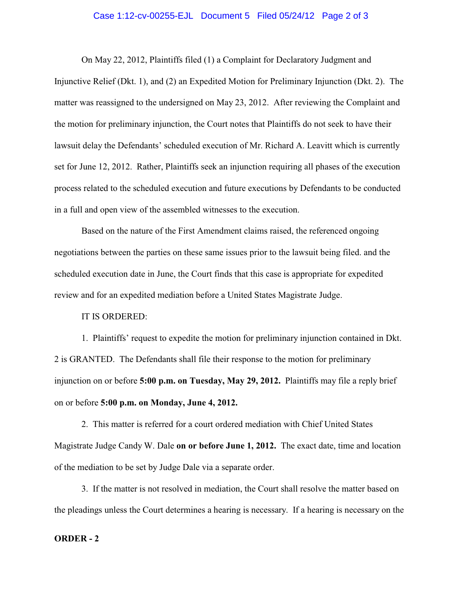### Case 1:12-cv-00255-EJL Document 5 Filed 05/24/12 Page 2 of 3

On May 22, 2012, Plaintiffs filed (1) a Complaint for Declaratory Judgment and Injunctive Relief (Dkt. 1), and (2) an Expedited Motion for Preliminary Injunction (Dkt. 2). The matter was reassigned to the undersigned on May 23, 2012. After reviewing the Complaint and the motion for preliminary injunction, the Court notes that Plaintiffs do not seek to have their lawsuit delay the Defendants' scheduled execution of Mr. Richard A. Leavitt which is currently set for June 12, 2012. Rather, Plaintiffs seek an injunction requiring all phases of the execution process related to the scheduled execution and future executions by Defendants to be conducted in a full and open view of the assembled witnesses to the execution.

Based on the nature of the First Amendment claims raised, the referenced ongoing negotiations between the parties on these same issues prior to the lawsuit being filed. and the scheduled execution date in June, the Court finds that this case is appropriate for expedited review and for an expedited mediation before a United States Magistrate Judge.

## IT IS ORDERED:

1. Plaintiffs' request to expedite the motion for preliminary injunction contained in Dkt. 2 is GRANTED. The Defendants shall file their response to the motion for preliminary injunction on or before **5:00 p.m. on Tuesday, May 29, 2012.** Plaintiffs may file a reply brief on or before **5:00 p.m. on Monday, June 4, 2012.** 

2. This matter is referred for a court ordered mediation with Chief United States Magistrate Judge Candy W. Dale **on or before June 1, 2012.** The exact date, time and location of the mediation to be set by Judge Dale via a separate order.

3. If the matter is not resolved in mediation, the Court shall resolve the matter based on the pleadings unless the Court determines a hearing is necessary. If a hearing is necessary on the

#### **ORDER - 2**